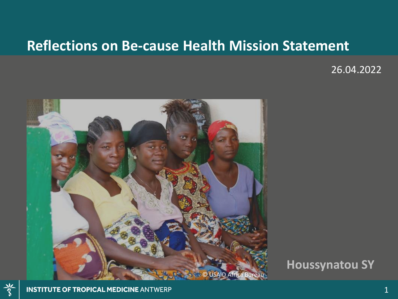#### **Reflections on Be-cause Health Mission Statement**

26.04.2022



**Houssynatou SY**

 $\frac{2}{3}$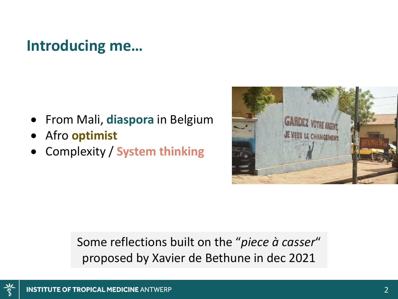#### **Introducing me…**

- From Mali, **diaspora** in Belgium
- Afro **optimist**
- Complexity / **System thinking**



Some reflections built on the "*piece à casser*" proposed by Xavier de Bethune in dec 2021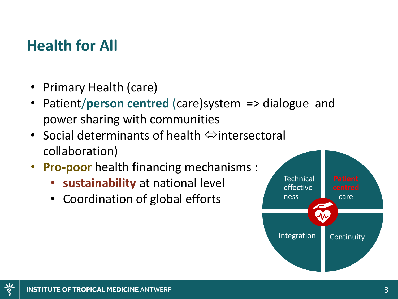## **Health for All**

- Primary Health (care)
- Patient/**person centred** (care)system => dialogue and power sharing with communities
- Social determinants of health  $\Leftrightarrow$  intersectoral collaboration)
- **Pro-poor** health financing mechanisms :
	- **sustainability** at national level
	- Coordination of global efforts

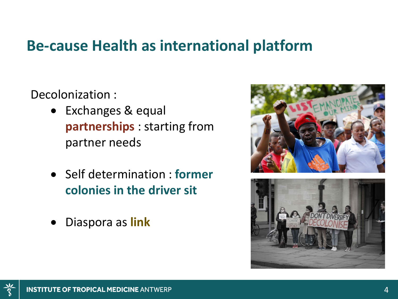#### **Be-cause Health as international platform**

Decolonization :

- Exchanges & equal **partnerships** : starting from partner needs
- Self determination : **former colonies in the driver sit**
- Diaspora as **link**



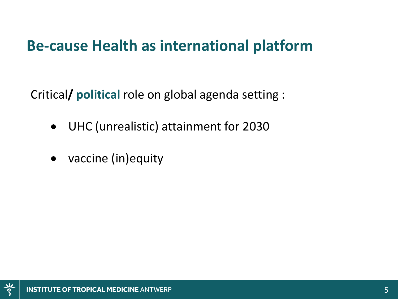## **Be-cause Health as international platform**

Critical**/ political** role on global agenda setting :

- UHC (unrealistic) attainment for 2030
- vaccine (in)equity

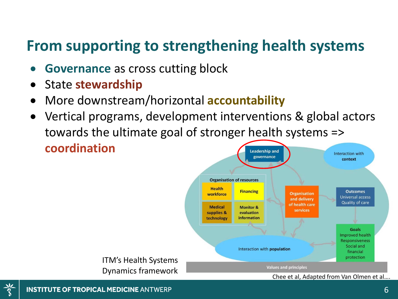# **From supporting to strengthening health systems**

- **Governance** as cross cutting block
- State **stewardship**
- More downstream/horizontal **accountability**
- Vertical programs, development interventions & global actors towards the ultimate goal of stronger health systems => **coordination Leadership and** Interaction with

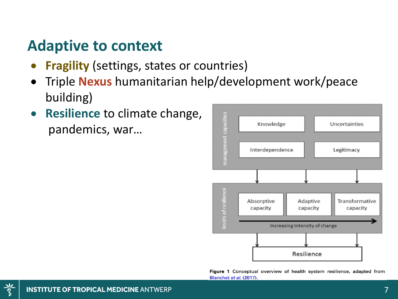## **Adaptive to context**

- **Fragility** (settings, states or countries)
- Triple **Nexus** humanitarian help/development work/peace building)
- **Resilience** to climate change, pandemics, war…



Figure 1 Conceptual overview of health system resilience, adapted from Blanchet et al. (2017).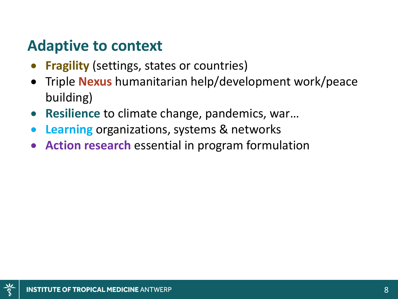## **Adaptive to context**

- **Fragility** (settings, states or countries)
- Triple **Nexus** humanitarian help/development work/peace building)
- **Resilience** to climate change, pandemics, war…
- **Learning** organizations, systems & networks
- **Action research** essential in program formulation